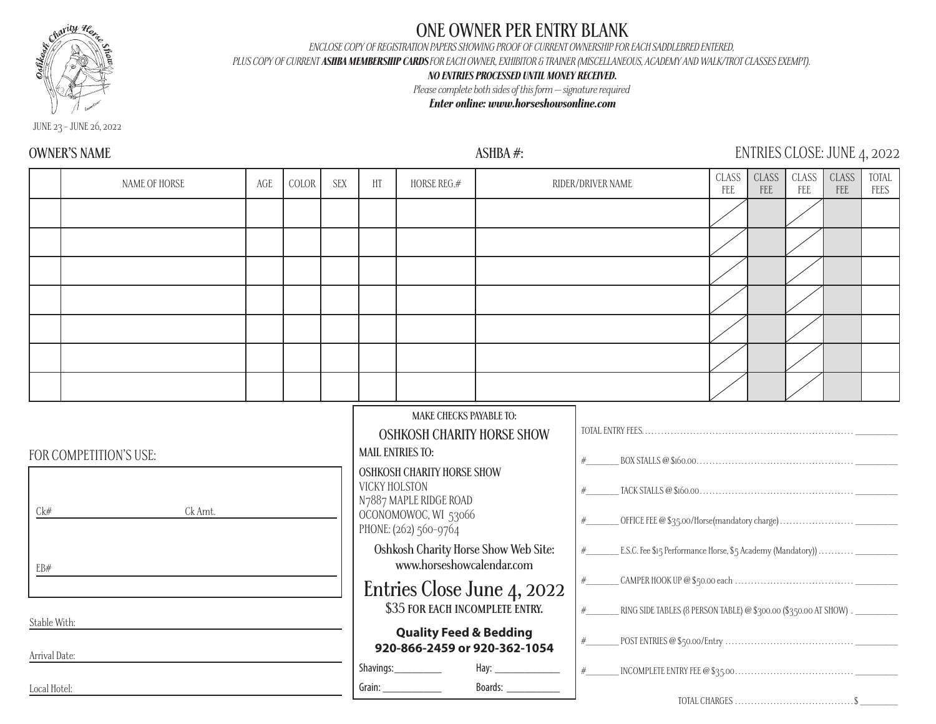

# **ONE OWNER PER ENTRY BLANK**

*ENCLOSE COPY OF REGISTRATION PAPERS SHOWING PROOF OF CURRENT OWNERSHIP FOR EACH SADDLEBRED ENTERED,* 

*PLUS COPY OF CURRENT ASHBA MEMBERSHIP CARDS FOR EACH OWNER, EXHIBITOR & TRAINER (MISCELLANEOUS, ACADEMY AND WALK/TROT CLASSES EXEMPT).*

### *NO ENTRIES PROCESSED UNTIL MONEY RECEIVED.*

*Please complete both sides of this form -- signature required*

### *Enter online: www.horseshowsonline.com*

JUNE 23 - JUNE 26, 2022

## **OWNER'S NAME ASHBA #:** ENTRIES CLOSE: JUNE 4, 2022

|                     | NAME OF HORSE                     | AGE | COLOR | <b>SEX</b> | HT                                                                                         | HORSE REG.#                                                                                                                                                                                      |                                      | RIDER/DRIVER NAME                                                                      |  | <b>CLASS</b><br>FEE | CLASS<br>FEE | CLASS<br>FEE | TOTAL<br>FEES |
|---------------------|-----------------------------------|-----|-------|------------|--------------------------------------------------------------------------------------------|--------------------------------------------------------------------------------------------------------------------------------------------------------------------------------------------------|--------------------------------------|----------------------------------------------------------------------------------------|--|---------------------|--------------|--------------|---------------|
|                     |                                   |     |       |            |                                                                                            |                                                                                                                                                                                                  |                                      |                                                                                        |  |                     |              |              |               |
|                     |                                   |     |       |            |                                                                                            |                                                                                                                                                                                                  |                                      |                                                                                        |  |                     |              |              |               |
|                     |                                   |     |       |            |                                                                                            |                                                                                                                                                                                                  |                                      |                                                                                        |  |                     |              |              |               |
|                     |                                   |     |       |            |                                                                                            |                                                                                                                                                                                                  |                                      |                                                                                        |  |                     |              |              |               |
|                     |                                   |     |       |            |                                                                                            |                                                                                                                                                                                                  |                                      |                                                                                        |  |                     |              |              |               |
|                     |                                   |     |       |            |                                                                                            |                                                                                                                                                                                                  |                                      |                                                                                        |  |                     |              |              |               |
|                     |                                   |     |       |            |                                                                                            |                                                                                                                                                                                                  |                                      |                                                                                        |  |                     |              |              |               |
| Ck#                 | FOR COMPETITION'S USE:<br>Ck Amt. |     |       |            | VICKY HOLSTON                                                                              | MAKE CHECKS PAYABLE TO:<br><b>OSHKOSH CHARITY HORSE SHOW</b><br><b>MAIL ENTRIES TO:</b><br>OSHKOSH CHARITY HORSE SHOW<br>N7887 MAPLE RIDGE ROAD<br>OCONOMOWOC, WI 53066<br>PHONE: (262) 560-9764 | Oshkosh Charity Horse Show Web Site: | #<br>#<br>#<br>E.S.C. Fee \$15 Performance Horse, \$5 Academy (Mandatory))<br>#        |  |                     |              |              |               |
| EB#<br>Stable With: |                                   |     |       |            | www.horseshowcalendar.com<br>Entries Close June 4, 2022<br>\$35 FOR EACH INCOMPLETE ENTRY. |                                                                                                                                                                                                  |                                      | #<br>#<br>RING SIDE TABLES (8 PERSON TABLE) @ \$300.00 (\$350.00 AT SHOW) . __________ |  |                     |              |              |               |
| Arrival Date:       |                                   |     |       |            |                                                                                            | <b>Quality Feed &amp; Bedding</b>                                                                                                                                                                | 920-866-2459 or 920-362-1054         | #                                                                                      |  |                     |              |              |               |
| Local Hotel:        |                                   |     |       |            |                                                                                            | Shavings:___________                                                                                                                                                                             |                                      |                                                                                        |  |                     |              |              |               |
|                     |                                   |     |       |            |                                                                                            |                                                                                                                                                                                                  |                                      |                                                                                        |  |                     |              |              |               |